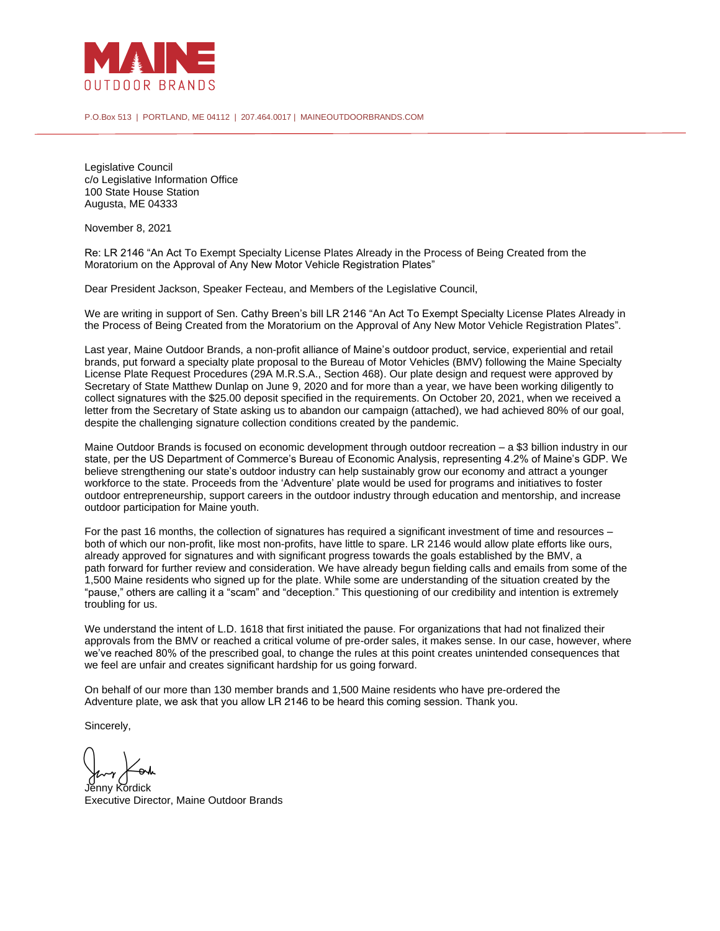

P.O.Box 513 | PORTLAND, ME 04112 | 207.464.0017 | MAINEOUTDOORBRANDS.COM

Legislative Council c/o Legislative Information Office 100 State House Station Augusta, ME 04333

November 8, 2021

Re: LR 2146 "An Act To Exempt Specialty License Plates Already in the Process of Being Created from the Moratorium on the Approval of Any New Motor Vehicle Registration Plates"

Dear President Jackson, Speaker Fecteau, and Members of the Legislative Council,

We are writing in support of Sen. Cathy Breen's bill LR 2146 "An Act To Exempt Specialty License Plates Already in the Process of Being Created from the Moratorium on the Approval of Any New Motor Vehicle Registration Plates".

Last year, Maine Outdoor Brands, a non-profit alliance of Maine's outdoor product, service, experiential and retail brands, put forward a specialty plate proposal to the Bureau of Motor Vehicles (BMV) following the Maine Specialty License Plate Request Procedures (29A M.R.S.A., Section 468). Our plate design and request were approved by Secretary of State Matthew Dunlap on June 9, 2020 and for more than a year, we have been working diligently to collect signatures with the \$25.00 deposit specified in the requirements. On October 20, 2021, when we received a letter from the Secretary of State asking us to abandon our campaign (attached), we had achieved 80% of our goal, despite the challenging signature collection conditions created by the pandemic.

Maine Outdoor Brands is focused on economic development through outdoor recreation – a \$3 billion industry in our state, per the US Department of Commerce's Bureau of Economic Analysis, representing 4.2% of Maine's GDP. We believe strengthening our state's outdoor industry can help sustainably grow our economy and attract a younger workforce to the state. Proceeds from the 'Adventure' plate would be used for programs and initiatives to foster outdoor entrepreneurship, support careers in the outdoor industry through education and mentorship, and increase outdoor participation for Maine youth.

For the past 16 months, the collection of signatures has required a significant investment of time and resources – both of which our non-profit, like most non-profits, have little to spare. LR 2146 would allow plate efforts like ours, already approved for signatures and with significant progress towards the goals established by the BMV, a path forward for further review and consideration. We have already begun fielding calls and emails from some of the 1,500 Maine residents who signed up for the plate. While some are understanding of the situation created by the "pause," others are calling it a "scam" and "deception." This questioning of our credibility and intention is extremely troubling for us.

We understand the intent of L.D. 1618 that first initiated the pause. For organizations that had not finalized their approvals from the BMV or reached a critical volume of pre-order sales, it makes sense. In our case, however, where we've reached 80% of the prescribed goal, to change the rules at this point creates unintended consequences that we feel are unfair and creates significant hardship for us going forward.

On behalf of our more than 130 member brands and 1,500 Maine residents who have pre-ordered the Adventure plate, we ask that you allow LR 2146 to be heard this coming session. Thank you.

Sincerely,

Jenny Kordick Executive Director, Maine Outdoor Brands